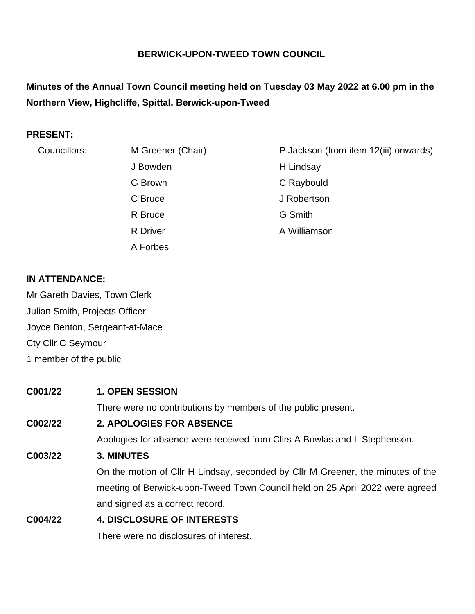### **BERWICK-UPON-TWEED TOWN COUNCIL**

# **Minutes of the Annual Town Council meeting held on Tuesday 03 May 2022 at 6.00 pm in the Northern View, Highcliffe, Spittal, Berwick-upon-Tweed**

#### **PRESENT:**

| Councillors: | M Greener (Chair) | P Jackson (from item 12(iii) onwards) |
|--------------|-------------------|---------------------------------------|
|              | J Bowden          | H Lindsay                             |
|              | G Brown           | C Raybould                            |
|              | C Bruce           | J Robertson                           |
|              | R Bruce           | G Smith                               |
|              | <b>R</b> Driver   | A Williamson                          |
|              | A Forbes          |                                       |

#### **IN ATTENDANCE:**

Mr Gareth Davies, Town Clerk Julian Smith, Projects Officer Joyce Benton, Sergeant-at-Mace Cty Cllr C Seymour 1 member of the public

#### **C001/22 1. OPEN SESSION**

There were no contributions by members of the public present.

### **C002/22 2. APOLOGIES FOR ABSENCE**

Apologies for absence were received from Cllrs A Bowlas and L Stephenson.

#### **C003/22 3. MINUTES**

On the motion of Cllr H Lindsay, seconded by Cllr M Greener, the minutes of the meeting of Berwick-upon-Tweed Town Council held on 25 April 2022 were agreed and signed as a correct record.

# **C004/22 4. DISCLOSURE OF INTERESTS**

There were no disclosures of interest.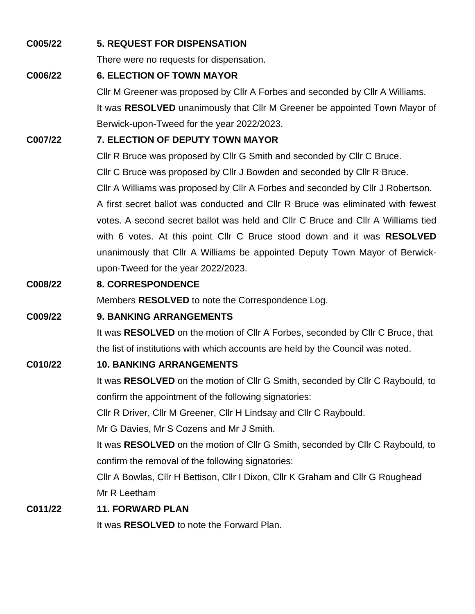#### **C005/22 5. REQUEST FOR DISPENSATION**

There were no requests for dispensation.

#### **C006/22 6. ELECTION OF TOWN MAYOR**

Cllr M Greener was proposed by Cllr A Forbes and seconded by Cllr A Williams. It was **RESOLVED** unanimously that Cllr M Greener be appointed Town Mayor of Berwick-upon-Tweed for the year 2022/2023.

#### **C007/22 7. ELECTION OF DEPUTY TOWN MAYOR**

Cllr R Bruce was proposed by Cllr G Smith and seconded by Cllr C Bruce.

Cllr C Bruce was proposed by Cllr J Bowden and seconded by Cllr R Bruce.

Cllr A Williams was proposed by Cllr A Forbes and seconded by Cllr J Robertson.

A first secret ballot was conducted and Cllr R Bruce was eliminated with fewest votes. A second secret ballot was held and Cllr C Bruce and Cllr A Williams tied with 6 votes. At this point Cllr C Bruce stood down and it was **RESOLVED** unanimously that Cllr A Williams be appointed Deputy Town Mayor of Berwickupon-Tweed for the year 2022/2023.

### **C008/22 8. CORRESPONDENCE**

Members **RESOLVED** to note the Correspondence Log.

#### **C009/22 9. BANKING ARRANGEMENTS**

It was **RESOLVED** on the motion of Cllr A Forbes, seconded by Cllr C Bruce, that the list of institutions with which accounts are held by the Council was noted.

#### **C010/22 10. BANKING ARRANGEMENTS**

It was **RESOLVED** on the motion of Cllr G Smith, seconded by Cllr C Raybould, to confirm the appointment of the following signatories:

Cllr R Driver, Cllr M Greener, Cllr H Lindsay and Cllr C Raybould.

Mr G Davies, Mr S Cozens and Mr J Smith.

It was **RESOLVED** on the motion of Cllr G Smith, seconded by Cllr C Raybould, to confirm the removal of the following signatories:

Cllr A Bowlas, Cllr H Bettison, Cllr I Dixon, Cllr K Graham and Cllr G Roughead Mr R Leetham

#### **C011/22 11. FORWARD PLAN**

It was **RESOLVED** to note the Forward Plan.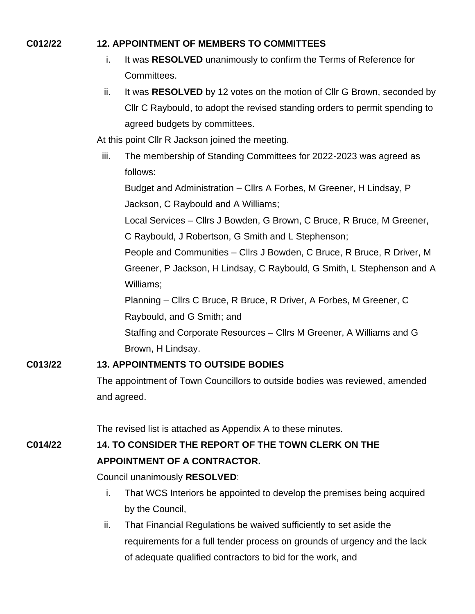#### **C012/22 12. APPOINTMENT OF MEMBERS TO COMMITTEES**

- i. It was **RESOLVED** unanimously to confirm the Terms of Reference for Committees.
- ii. It was **RESOLVED** by 12 votes on the motion of Cllr G Brown, seconded by Cllr C Raybould, to adopt the revised standing orders to permit spending to agreed budgets by committees.

At this point Cllr R Jackson joined the meeting.

iii. The membership of Standing Committees for 2022-2023 was agreed as follows:

Budget and Administration – Cllrs A Forbes, M Greener, H Lindsay, P Jackson, C Raybould and A Williams;

Local Services – Cllrs J Bowden, G Brown, C Bruce, R Bruce, M Greener,

C Raybould, J Robertson, G Smith and L Stephenson;

People and Communities – Cllrs J Bowden, C Bruce, R Bruce, R Driver, M Greener, P Jackson, H Lindsay, C Raybould, G Smith, L Stephenson and A Williams;

Planning – Cllrs C Bruce, R Bruce, R Driver, A Forbes, M Greener, C Raybould, and G Smith; and

Staffing and Corporate Resources – Cllrs M Greener, A Williams and G Brown, H Lindsay.

# **C013/22 13. APPOINTMENTS TO OUTSIDE BODIES**

The appointment of Town Councillors to outside bodies was reviewed, amended and agreed.

The revised list is attached as Appendix A to these minutes.

# **C014/22 14. TO CONSIDER THE REPORT OF THE TOWN CLERK ON THE APPOINTMENT OF A CONTRACTOR.**

Council unanimously **RESOLVED**:

- i. That WCS Interiors be appointed to develop the premises being acquired by the Council,
- ii. That Financial Regulations be waived sufficiently to set aside the requirements for a full tender process on grounds of urgency and the lack of adequate qualified contractors to bid for the work, and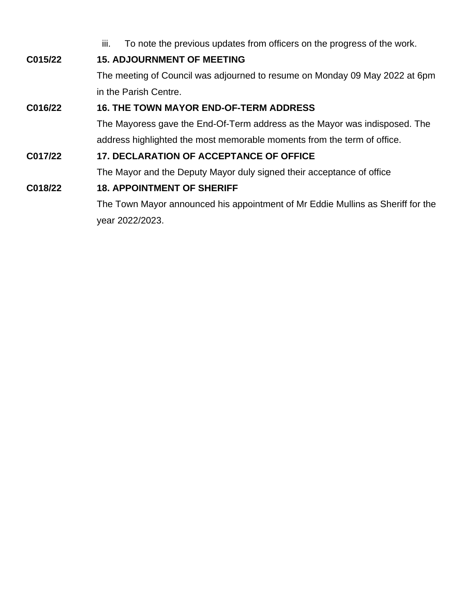|         | To note the previous updates from officers on the progress of the work.<br>III. |
|---------|---------------------------------------------------------------------------------|
| C015/22 | <b>15. ADJOURNMENT OF MEETING</b>                                               |
|         | The meeting of Council was adjourned to resume on Monday 09 May 2022 at 6pm     |
|         | in the Parish Centre.                                                           |
| C016/22 | <b>16. THE TOWN MAYOR END-OF-TERM ADDRESS</b>                                   |
|         | The Mayoress gave the End-Of-Term address as the Mayor was indisposed. The      |
|         | address highlighted the most memorable moments from the term of office.         |
| C017/22 | <b>17. DECLARATION OF ACCEPTANCE OF OFFICE</b>                                  |
|         | The Mayor and the Deputy Mayor duly signed their acceptance of office           |
| C018/22 | <b>18. APPOINTMENT OF SHERIFF</b>                                               |

The Town Mayor announced his appointment of Mr Eddie Mullins as Sheriff for the year 2022/2023.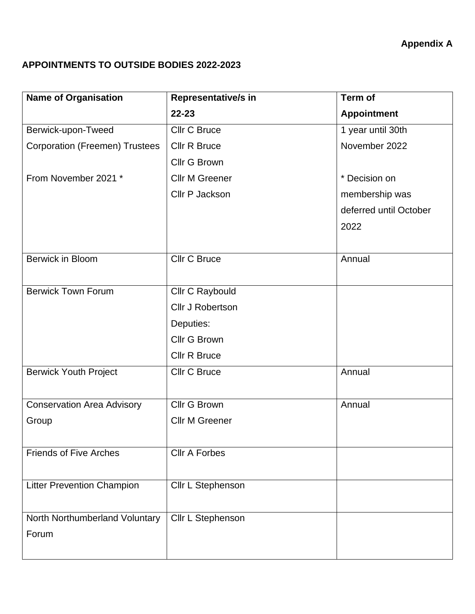# **Appendix A**

# **APPOINTMENTS TO OUTSIDE BODIES 2022-2023**

| <b>Name of Organisation</b>           | Representative/s in     | Term of                |
|---------------------------------------|-------------------------|------------------------|
|                                       | $22 - 23$               | <b>Appointment</b>     |
| Berwick-upon-Tweed                    | <b>Cllr C Bruce</b>     | 1 year until 30th      |
| <b>Corporation (Freemen) Trustees</b> | <b>Cllr R Bruce</b>     | November 2022          |
|                                       | <b>Cllr G Brown</b>     |                        |
| From November 2021 *                  | <b>Cllr M Greener</b>   | * Decision on          |
|                                       | Cllr P Jackson          | membership was         |
|                                       |                         | deferred until October |
|                                       |                         | 2022                   |
|                                       |                         |                        |
| <b>Berwick in Bloom</b>               | <b>Cllr C Bruce</b>     | Annual                 |
|                                       |                         |                        |
| <b>Berwick Town Forum</b>             | Cllr C Raybould         |                        |
|                                       | <b>Cllr J Robertson</b> |                        |
|                                       | Deputies:               |                        |
|                                       | <b>Cllr G Brown</b>     |                        |
|                                       | <b>Cllr R Bruce</b>     |                        |
| <b>Berwick Youth Project</b>          | <b>Cllr C Bruce</b>     | Annual                 |
|                                       |                         |                        |
| <b>Conservation Area Advisory</b>     | <b>Cllr G Brown</b>     | Annual                 |
| Group                                 | <b>Cllr M Greener</b>   |                        |
|                                       |                         |                        |
| <b>Friends of Five Arches</b>         | <b>Cllr A Forbes</b>    |                        |
|                                       |                         |                        |
| <b>Litter Prevention Champion</b>     | Cllr L Stephenson       |                        |
|                                       |                         |                        |
| North Northumberland Voluntary        | Cllr L Stephenson       |                        |
| Forum                                 |                         |                        |
|                                       |                         |                        |